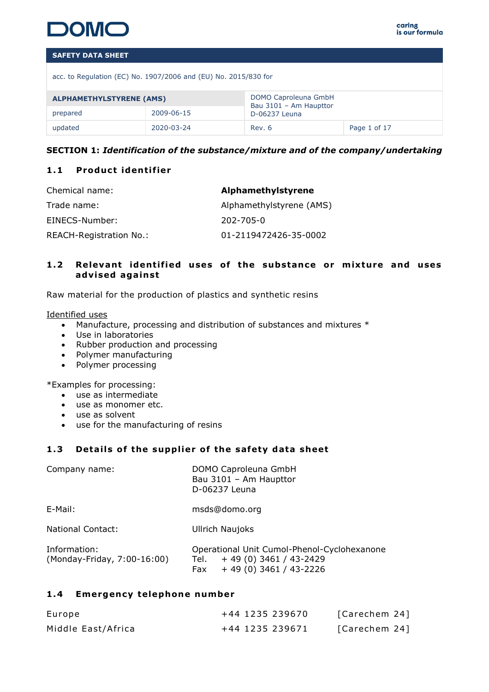

acc. to Regulation (EC) No. 1907/2006 and (EU) No. 2015/830 for

| ALPHAMETHYLSTYRENE (AMS) |            |                                         |              |
|--------------------------|------------|-----------------------------------------|--------------|
| prepared                 | 2009-06-15 | Bau 3101 - Am Haupttor<br>D-06237 Leuna |              |
| updated                  | 2020-03-24 | Rev. 6                                  | Page 1 of 17 |

# **SECTION 1:** *Identification of the substance/mixture and of the company/undertaking*

# 1.1 **Product identifier**

| Chemical name:          | Alphamethylstyrene       |
|-------------------------|--------------------------|
| Trade name:             | Alphamethylstyrene (AMS) |
| EINECS-Number:          | 202-705-0                |
| REACH-Registration No.: | 01-2119472426-35-0002    |

# **1.2** Relevant identified uses of the substance or mixture and uses **adv ised aga inst**

Raw material for the production of plastics and synthetic resins

Identified uses

- Manufacture, processing and distribution of substances and mixtures \*
- Use in laboratories
- Rubber production and processing
- Polymer manufacturing
- Polymer processing

\*Examples for processing:

- use as intermediate
- use as monomer etc.
- use as solvent
- use for the manufacturing of resins

# 1.3 Details of the supplier of the safety data sheet

| Company name:                               | DOMO Caproleuna GmbH<br>Bau 3101 - Am Haupttor<br>D-06237 Leuna                                            |
|---------------------------------------------|------------------------------------------------------------------------------------------------------------|
| E-Mail:                                     | msds@domo.org                                                                                              |
| <b>National Contact:</b>                    | <b>Ullrich Naujoks</b>                                                                                     |
| Information:<br>(Monday-Friday, 7:00-16:00) | Operational Unit Cumol-Phenol-Cyclohexanone<br>$+49(0)3461/43-2429$<br>Tel.<br>$+49(0)3461/43-2226$<br>Fax |

# 1.4 **Emergency telephone number**

| Europe             | +44 1235 239670 | [Carechem 24] |
|--------------------|-----------------|---------------|
| Middle East/Africa | +44 1235 239671 | [Carechem 24] |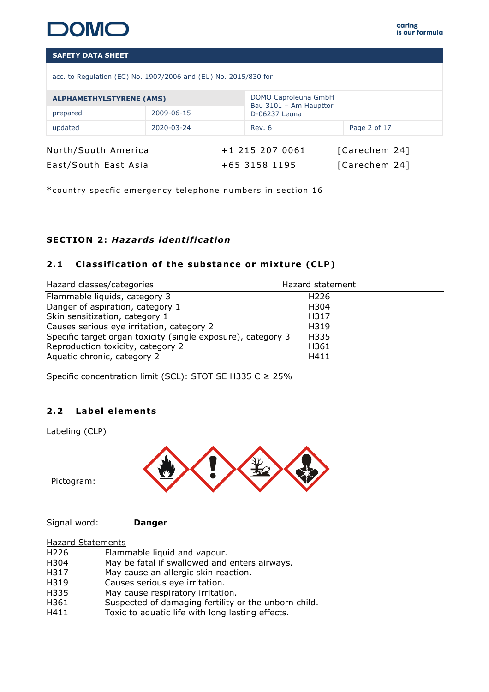

acc. to Regulation (EC) No. 1907/2006 and (EU) No. 2015/830 for

| <b>ALPHAMETHYLSTYRENE (AMS)</b> |            | DOMO Caproleuna GmbH<br>Bau 3101 - Am Haupttor |               |               |              |  |
|---------------------------------|------------|------------------------------------------------|---------------|---------------|--------------|--|
| prepared                        | 2009-06-15 |                                                | D-06237 Leuna |               |              |  |
| updated                         | 2020-03-24 |                                                | Rev. 6        |               | Page 2 of 17 |  |
| North/South America             |            | $+1$ 215 207 0061                              |               | [Carechem 24] |              |  |
| East/South East Asia            |            | +65 3158 1195                                  |               | [Carechem 24] |              |  |

\*country specfic emergency telephone numbers in section 16

# **SECTION 2 :** *Hazards ident if icat ion*

# 2.1 Classification of the substance or mixture (CLP)

| Hazard classes/categories                                    | Hazard statement |
|--------------------------------------------------------------|------------------|
| Flammable liquids, category 3                                | H <sub>226</sub> |
| Danger of aspiration, category 1                             | H304             |
| Skin sensitization, category 1                               | H317             |
| Causes serious eye irritation, category 2                    | H319             |
| Specific target organ toxicity (single exposure), category 3 | H335             |
| Reproduction toxicity, category 2                            | H361             |
| Aquatic chronic, category 2                                  | H411             |

Specific concentration limit (SCL): STOT SE H335 C  $\geq$  25%

# 2.2 Label elements

Labeling (CLP)



Pictogram:

Signal word: **Danger**

| $and$ $C+ab$ |  |
|--------------|--|

| <b>Hazard Statements</b>                             |
|------------------------------------------------------|
| Flammable liquid and vapour.                         |
| May be fatal if swallowed and enters airways.        |
| May cause an allergic skin reaction.                 |
| Causes serious eye irritation.                       |
| May cause respiratory irritation.                    |
| Suspected of damaging fertility or the unborn child. |
| Toxic to aquatic life with long lasting effects.     |
|                                                      |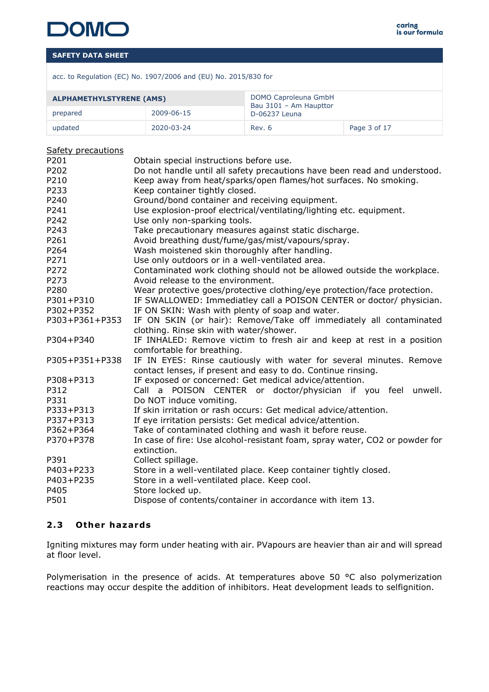acc. to Regulation (EC) No. 1907/2006 and (EU) No. 2015/830 for

| <b>ALPHAMETHYLSTYRENE (AMS)</b> |            | DOMO Caproleuna GmbH<br>Bau 3101 - Am Haupttor |              |
|---------------------------------|------------|------------------------------------------------|--------------|
| prepared                        | 2009-06-15 | D-06237 Leuna                                  |              |
| updated                         | 2020-03-24 | Rev. 6                                         | Page 3 of 17 |

#### Safety precautions

| P201           | Obtain special instructions before use.                                     |
|----------------|-----------------------------------------------------------------------------|
| P202           | Do not handle until all safety precautions have been read and understood.   |
| P210           | Keep away from heat/sparks/open flames/hot surfaces. No smoking.            |
| P233           | Keep container tightly closed.                                              |
| P240           | Ground/bond container and receiving equipment.                              |
| P241           | Use explosion-proof electrical/ventilating/lighting etc. equipment.         |
| P242           | Use only non-sparking tools.                                                |
| P243           | Take precautionary measures against static discharge.                       |
| P261           | Avoid breathing dust/fume/gas/mist/vapours/spray.                           |
| P264           | Wash moistened skin thoroughly after handling.                              |
| P271           | Use only outdoors or in a well-ventilated area.                             |
| P272           | Contaminated work clothing should not be allowed outside the workplace.     |
| P273           | Avoid release to the environment.                                           |
| P280           | Wear protective goes/protective clothing/eye protection/face protection.    |
| P301+P310      | IF SWALLOWED: Immediatley call a POISON CENTER or doctor/ physician.        |
| P302+P352      | IF ON SKIN: Wash with plenty of soap and water.                             |
| P303+P361+P353 | IF ON SKIN (or hair): Remove/Take off immediately all contaminated          |
|                | clothing. Rinse skin with water/shower.                                     |
| P304+P340      | IF INHALED: Remove victim to fresh air and keep at rest in a position       |
|                | comfortable for breathing.                                                  |
| P305+P351+P338 | IF IN EYES: Rinse cautiously with water for several minutes. Remove         |
|                | contact lenses, if present and easy to do. Continue rinsing.                |
| P308+P313      | IF exposed or concerned: Get medical advice/attention.                      |
| P312           | Call a POISON CENTER or doctor/physician if you feel<br>unwell.             |
| P331           | Do NOT induce vomiting.                                                     |
| P333+P313      | If skin irritation or rash occurs: Get medical advice/attention.            |
| P337+P313      | If eye irritation persists: Get medical advice/attention.                   |
| P362+P364      | Take of contaminated clothing and wash it before reuse.                     |
| P370+P378      | In case of fire: Use alcohol-resistant foam, spray water, CO2 or powder for |
|                | extinction.                                                                 |
| P391           | Collect spillage.                                                           |
| P403+P233      | Store in a well-ventilated place. Keep container tightly closed.            |
| P403+P235      | Store in a well-ventilated place. Keep cool.                                |
| P405           | Store locked up.                                                            |
| P501           | Dispose of contents/container in accordance with item 13.                   |
|                |                                                                             |

# **2 .3 Other hazards**

Igniting mixtures may form under heating with air. PVapours are heavier than air and will spread at floor level.

Polymerisation in the presence of acids. At temperatures above 50 °C also polymerization reactions may occur despite the addition of inhibitors. Heat development leads to selfignition.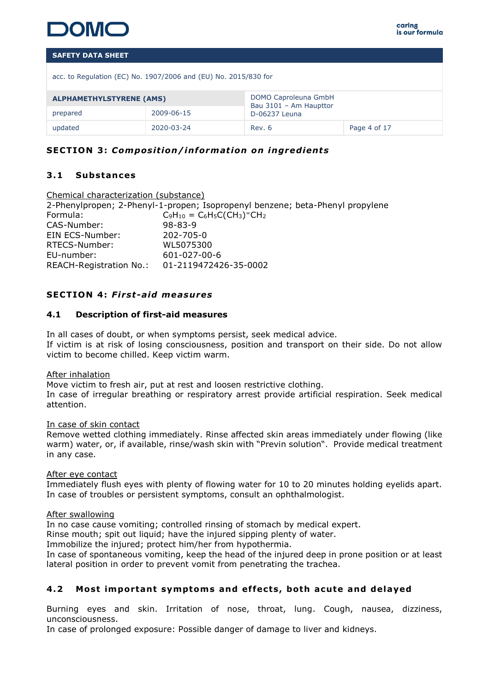

acc. to Regulation (EC) No. 1907/2006 and (EU) No. 2015/830 for

| DOMO Caproleuna GmbH<br><b>ALPHAMETHYLSTYRENE (AMS)</b><br>Bau 3101 - Am Haupttor |            |               |              |  |
|-----------------------------------------------------------------------------------|------------|---------------|--------------|--|
| prepared                                                                          | 2009-06-15 | D-06237 Leuna |              |  |
| updated                                                                           | 2020-03-24 | Rev. 6        | Page 4 of 17 |  |

# **SECTION 3: Composition/information on ingredients**

# **3 .1 Substances**

Chemical characterization (substance) 2-Phenylpropen; 2-Phenyl-1-propen; Isopropenyl benzene; beta-Phenyl propylene  $\mathsf{Formula:}\qquad \qquad \mathsf{C}_9\mathsf{H}_{10}=\mathsf{C}_6\mathsf{H}_5\mathsf{C}(\mathsf{CH}_3)^\mathsf{\scriptscriptstyle\mathsf{I}}\mathsf{CH}_2$ CAS-Number: 98-83-9 EIN ECS-Number: 202-705-0 RTECS-Number: WL5075300 EU-number: 601-027-00-6 REACH-Registration No.: 01-2119472426-35-0002

# **SECTION 4 :** *F irst-a id measures*

#### **4.1 Description of first-aid measures**

In all cases of doubt, or when symptoms persist, seek medical advice. If victim is at risk of losing consciousness, position and transport on their side. Do not allow victim to become chilled. Keep victim warm.

#### After inhalation

Move victim to fresh air, put at rest and loosen restrictive clothing.

In case of irregular breathing or respiratory arrest provide artificial respiration. Seek medical attention.

#### In case of skin contact

Remove wetted clothing immediately. Rinse affected skin areas immediately under flowing (like warm) water, or, if available, rinse/wash skin with "Previn solution". Provide medical treatment in any case.

#### After eye contact

Immediately flush eyes with plenty of flowing water for 10 to 20 minutes holding eyelids apart. In case of troubles or persistent symptoms, consult an ophthalmologist.

#### After swallowing

In no case cause vomiting; controlled rinsing of stomach by medical expert.

Rinse mouth; spit out liquid; have the injured sipping plenty of water.

Immobilize the injured; protect him/her from hypothermia.

In case of spontaneous vomiting, keep the head of the injured deep in prone position or at least lateral position in order to prevent vomit from penetrating the trachea.

# **4 .2 Most important symptoms and ef fects , both acute and de layed**

Burning eyes and skin. Irritation of nose, throat, lung. Cough, nausea, dizziness, unconsciousness.

In case of prolonged exposure: Possible danger of damage to liver and kidneys.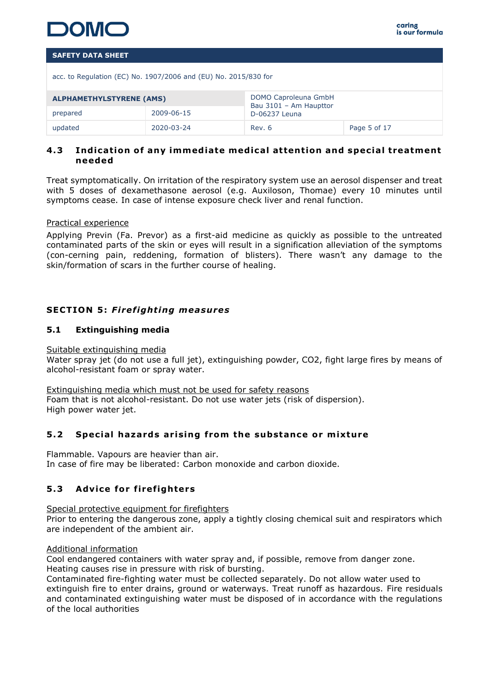

acc. to Regulation (EC) No. 1907/2006 and (EU) No. 2015/830 for

| DOMO Caproleuna GmbH<br><b>ALPHAMETHYLSTYRENE (AMS)</b><br>Bau 3101 - Am Haupttor |            |               |              |  |
|-----------------------------------------------------------------------------------|------------|---------------|--------------|--|
| prepared                                                                          | 2009-06-15 | D-06237 Leuna |              |  |
| updated                                                                           | 2020-03-24 | Rev. 6        | Page 5 of 17 |  |

# **4 .3 Ind icat ion o f any immed iate med ica l attent ion and spec ia l treatment needed**

Treat symptomatically. On irritation of the respiratory system use an aerosol dispenser and treat with 5 doses of dexamethasone aerosol (e.g. Auxiloson, Thomae) every 10 minutes until symptoms cease. In case of intense exposure check liver and renal function.

#### Practical experience

Applying Previn (Fa. Prevor) as a first-aid medicine as quickly as possible to the untreated contaminated parts of the skin or eyes will result in a signification alleviation of the symptoms (con-cerning pain, reddening, formation of blisters). There wasn't any damage to the skin/formation of scars in the further course of healing.

# **SECTION 5: Firefighting measures**

# **5.1 Extinguishing media**

#### Suitable extinguishing media

Water spray jet (do not use a full jet), extinguishing powder, CO2, fight large fires by means of alcohol-resistant foam or spray water.

Extinguishing media which must not be used for safety reasons Foam that is not alcohol-resistant. Do not use water jets (risk of dispersion). High power water jet.

#### **5 .2 Spec ia l hazards ar is ing from the substance or m ixture**

Flammable. Vapours are heavier than air. In case of fire may be liberated: Carbon monoxide and carbon dioxide.

# **5.3** Advice for firefighters

Special protective equipment for firefighters

Prior to entering the dangerous zone, apply a tightly closing chemical suit and respirators which are independent of the ambient air.

#### Additional information

Cool endangered containers with water spray and, if possible, remove from danger zone. Heating causes rise in pressure with risk of bursting.

Contaminated fire-fighting water must be collected separately. Do not allow water used to extinguish fire to enter drains, ground or waterways. Treat runoff as hazardous. Fire residuals and contaminated extinguishing water must be disposed of in accordance with the regulations of the local authorities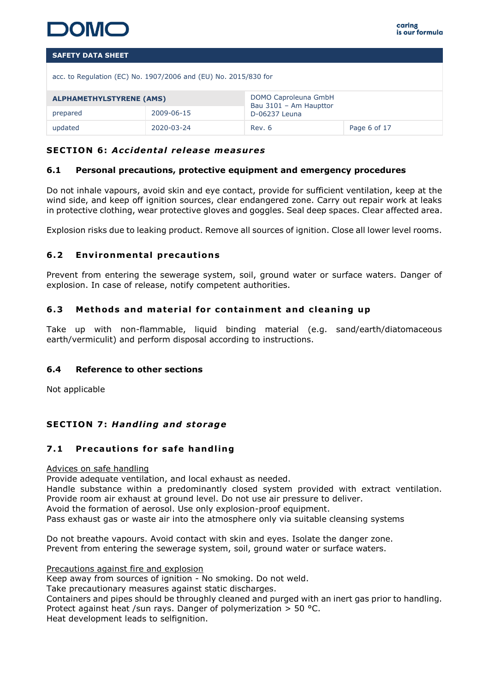

acc. to Regulation (EC) No. 1907/2006 and (EU) No. 2015/830 for

| <b>ALPHAMETHYLSTYRENE (AMS)</b> |            | DOMO Caproleuna GmbH<br>Bau 3101 - Am Haupttor |              |
|---------------------------------|------------|------------------------------------------------|--------------|
| prepared                        | 2009-06-15 | D-06237 Leuna                                  |              |
| updated                         | 2020-03-24 | Rev. 6                                         | Page 6 of 17 |

# **SECTION 6 :** *Acc identa l re lease measures*

#### **6.1 Personal precautions, protective equipment and emergency procedures**

Do not inhale vapours, avoid skin and eye contact, provide for sufficient ventilation, keep at the wind side, and keep off ignition sources, clear endangered zone. Carry out repair work at leaks in protective clothing, wear protective gloves and goggles. Seal deep spaces. Clear affected area.

Explosion risks due to leaking product. Remove all sources of ignition. Close all lower level rooms.

# **6.2** Environmental precautions

Prevent from entering the sewerage system, soil, ground water or surface waters. Danger of explosion. In case of release, notify competent authorities.

# **6.3** Methods and material for containment and cleaning up

Take up with non-flammable, liquid binding material (e.g. sand/earth/diatomaceous earth/vermiculit) and perform disposal according to instructions.

#### **6.4 Reference to other sections**

Not applicable

# **SECTION 7: Handling and storage**

#### **7.1 Precautions for safe handling**

#### Advices on safe handling

Provide adequate ventilation, and local exhaust as needed.

Handle substance within a predominantly closed system provided with extract ventilation. Provide room air exhaust at ground level. Do not use air pressure to deliver.

Avoid the formation of aerosol. Use only explosion-proof equipment.

Pass exhaust gas or waste air into the atmosphere only via suitable cleansing systems

Do not breathe vapours. Avoid contact with skin and eyes. Isolate the danger zone. Prevent from entering the sewerage system, soil, ground water or surface waters.

Precautions against fire and explosion

Keep away from sources of ignition - No smoking. Do not weld.

Take precautionary measures against static discharges.

Containers and pipes should be throughly cleaned and purged with an inert gas prior to handling.

Protect against heat /sun rays. Danger of polymerization > 50 °C.

Heat development leads to selfignition.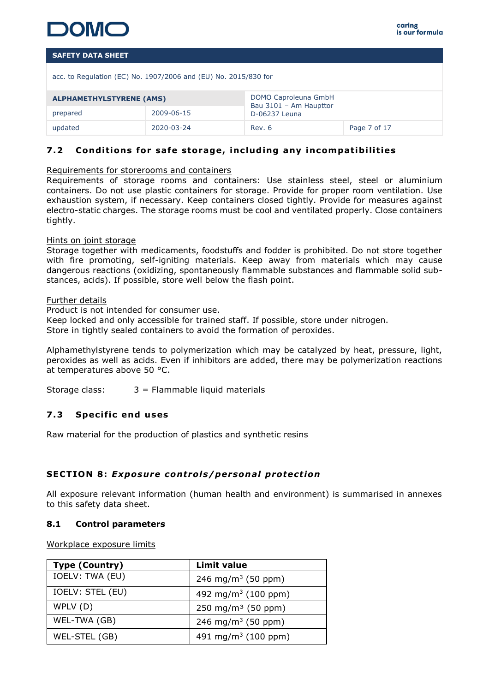acc. to Regulation (EC) No. 1907/2006 and (EU) No. 2015/830 for

| <b>ALPHAMETHYLSTYRENE (AMS)</b> |            | DOMO Caproleuna GmbH<br>Bau 3101 - Am Haupttor |              |
|---------------------------------|------------|------------------------------------------------|--------------|
| prepared                        | 2009-06-15 | D-06237 Leuna                                  |              |
| updated                         | 2020-03-24 | Rev. 6                                         | Page 7 of 17 |

# **7.2** Conditions for safe storage, including any incompatibilities

#### Requirements for storerooms and containers

Requirements of storage rooms and containers: Use stainless steel, steel or aluminium containers. Do not use plastic containers for storage. Provide for proper room ventilation. Use exhaustion system, if necessary. Keep containers closed tightly. Provide for measures against electro-static charges. The storage rooms must be cool and ventilated properly. Close containers tightly.

#### Hints on joint storage

Storage together with medicaments, foodstuffs and fodder is prohibited. Do not store together with fire promoting, self-igniting materials. Keep away from materials which may cause dangerous reactions (oxidizing, spontaneously flammable substances and flammable solid substances, acids). If possible, store well below the flash point.

#### Further details

Product is not intended for consumer use.

Keep locked and only accessible for trained staff. If possible, store under nitrogen. Store in tightly sealed containers to avoid the formation of peroxides.

Alphamethylstyrene tends to polymerization which may be catalyzed by heat, pressure, light, peroxides as well as acids. Even if inhibitors are added, there may be polymerization reactions at temperatures above 50 °C.

Storage class: 3 = Flammable liquid materials

# **7 .3 Spec if ic end uses**

Raw material for the production of plastics and synthetic resins

# **SECTION 8: Exposure controls/personal protection**

All exposure relevant information (human health and environment) is summarised in annexes to this safety data sheet.

#### **8.1 Control parameters**

Workplace exposure limits

| <b>Type (Country)</b> | <b>Limit value</b>              |
|-----------------------|---------------------------------|
| IOELV: TWA (EU)       | 246 mg/m <sup>3</sup> (50 ppm)  |
| IOELV: STEL (EU)      | 492 mg/m <sup>3</sup> (100 ppm) |
| WPLV (D)              | 250 mg/m <sup>3</sup> (50 ppm)  |
| WEL-TWA (GB)          | 246 mg/m <sup>3</sup> (50 ppm)  |
| WEL-STEL (GB)         | 491 mg/m <sup>3</sup> (100 ppm) |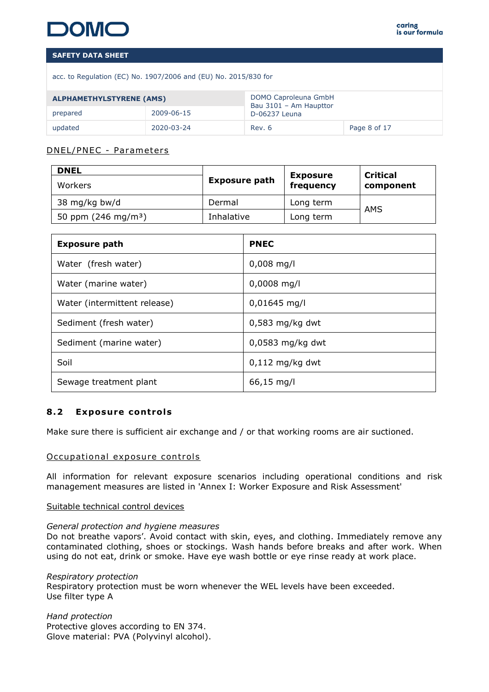acc. to Regulation (EC) No. 1907/2006 and (EU) No. 2015/830 for

| <b>ALPHAMETHYLSTYRENE (AMS)</b> |            | DOMO Caproleuna GmbH<br>Bau 3101 - Am Haupttor |              |
|---------------------------------|------------|------------------------------------------------|--------------|
| prepared                        | 2009-06-15 | D-06237 Leuna                                  |              |
| updated                         | 2020-03-24 | Rev. 6                                         | Page 8 of 17 |

# DNEL/PNEC - Pa rameters

| <b>DNEL</b>                   | <b>Exposure path</b> | <b>Exposure</b> | Critical  |  |
|-------------------------------|----------------------|-----------------|-----------|--|
| Workers                       |                      | frequency       | component |  |
| 38 mg/kg bw/d                 | Dermal               | Long term       | AMS       |  |
| 50 ppm $(246 \text{ mg/m}^3)$ | Inhalative           | Long term       |           |  |

| <b>Exposure path</b>         | <b>PNEC</b>        |
|------------------------------|--------------------|
| Water (fresh water)          | $0,008$ mg/l       |
| Water (marine water)         | $0,0008$ mg/l      |
| Water (intermittent release) | $0,01645$ mg/l     |
| Sediment (fresh water)       | $0,583$ mg/kg dwt  |
| Sediment (marine water)      | $0.0583$ mg/kg dwt |
| Soil                         | $0,112$ mg/kg dwt  |
| Sewage treatment plant       | 66,15 mg/l         |

# **8.2 Exposure controls**

Make sure there is sufficient air exchange and / or that working rooms are air suctioned.

# Occupational exposure controls

All information for relevant exposure scenarios including operational conditions and risk management measures are listed in 'Annex I: Worker Exposure and Risk Assessment'

#### Suitable technical control devices

#### *General protection and hygiene measures*

Do not breathe vapors'. Avoid contact with skin, eyes, and clothing. Immediately remove any contaminated clothing, shoes or stockings. Wash hands before breaks and after work. When using do not eat, drink or smoke. Have eye wash bottle or eye rinse ready at work place.

*Respiratory protection* Respiratory protection must be worn whenever the WEL levels have been exceeded. Use filter type A

*Hand protection* Protective gloves according to EN 374. Glove material: PVA (Polyvinyl alcohol).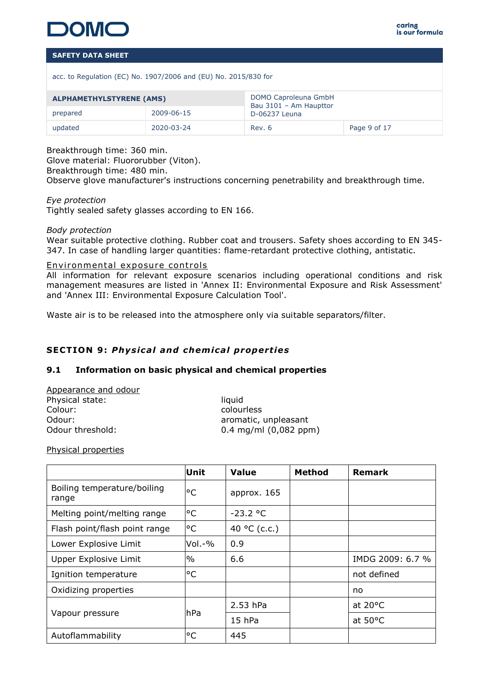

acc. to Regulation (EC) No. 1907/2006 and (EU) No. 2015/830 for

| <b>ALPHAMETHYLSTYRENE (AMS)</b> |            | DOMO Caproleuna GmbH<br>Bau 3101 - Am Haupttor |              |
|---------------------------------|------------|------------------------------------------------|--------------|
| prepared                        | 2009-06-15 | D-06237 Leuna                                  |              |
| updated                         | 2020-03-24 | Rev. 6                                         | Page 9 of 17 |

Breakthrough time: 360 min.

Glove material: Fluororubber (Viton).

Breakthrough time: 480 min.

Observe glove manufacturer's instructions concerning penetrability and breakthrough time.

#### *Eye protection*

Tightly sealed safety glasses according to EN 166.

#### *Body protection*

Wear suitable protective clothing. Rubber coat and trousers. Safety shoes according to EN 345- 347. In case of handling larger quantities: flame-retardant protective clothing, antistatic.

# Environmental exposure controls

All information for relevant exposure scenarios including operational conditions and risk management measures are listed in 'Annex II: Environmental Exposure and Risk Assessment' and 'Annex III: Environmental Exposure Calculation Tool'.

Waste air is to be released into the atmosphere only via suitable separators/filter.

# **SECTION 9: Physical and chemical properties**

# **9.1 Information on basic physical and chemical properties**

| Appearance and odour |                           |
|----------------------|---------------------------|
| Physical state:      | liquid                    |
| Colour:              | colourless                |
| Odour:               | aromatic, unpleasant      |
| Odour threshold:     | $0.4$ mg/ml $(0,082$ ppm) |
|                      |                           |

Physical properties

|                                      | Unit   | <b>Value</b> | <b>Method</b> | <b>Remark</b>     |
|--------------------------------------|--------|--------------|---------------|-------------------|
| Boiling temperature/boiling<br>range | °C     | approx. 165  |               |                   |
| Melting point/melting range          | °C     | $-23.2 °C$   |               |                   |
| Flash point/flash point range        | °C     | 40 °C (c.c.) |               |                   |
| Lower Explosive Limit                | Vol.-% | 0.9          |               |                   |
| Upper Explosive Limit                | $\%$   | 6.6          |               | IMDG 2009: 6.7 %  |
| Ignition temperature                 | °C     |              |               | not defined       |
| Oxidizing properties                 |        |              |               | no                |
|                                      | hPa    | 2.53 hPa     |               | at $20^{\circ}$ C |
| Vapour pressure                      |        | $15$ hPa     |               | at $50^{\circ}$ C |
| Autoflammability                     | °C     | 445          |               |                   |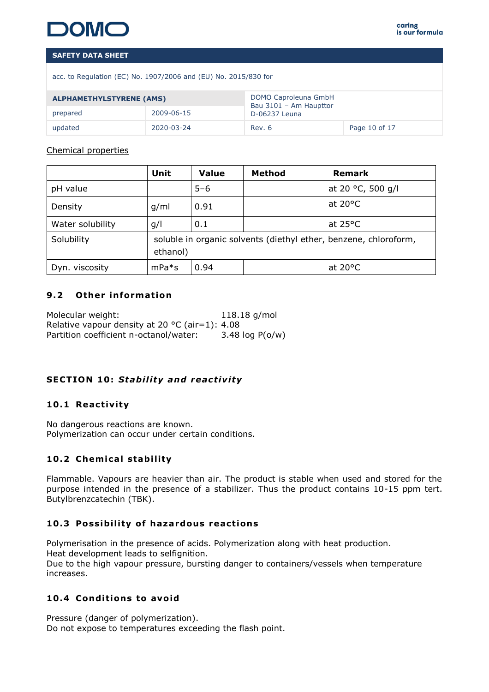acc. to Regulation (EC) No. 1907/2006 and (EU) No. 2015/830 for

| <b>ALPHAMETHYLSTYRENE (AMS)</b> |            | DOMO Caproleuna GmbH<br>Bau 3101 - Am Haupttor |               |
|---------------------------------|------------|------------------------------------------------|---------------|
| prepared                        | 2009-06-15 | D-06237 Leuna                                  |               |
| updated                         | 2020-03-24 | Rev. 6                                         | Page 10 of 17 |

# Chemical properties

|                  | Unit                                                                         | <b>Value</b> | Method | <b>Remark</b>     |
|------------------|------------------------------------------------------------------------------|--------------|--------|-------------------|
| pH value         |                                                                              | $5 - 6$      |        | at 20 °C, 500 g/l |
| Density          | g/ml                                                                         | 0.91         |        | at $20^{\circ}$ C |
| Water solubility | g/l                                                                          | 0.1          |        | at $25^{\circ}$ C |
| Solubility       | soluble in organic solvents (diethyl ether, benzene, chloroform,<br>ethanol) |              |        |                   |
| Dyn. viscosity   | $mPa*$ s                                                                     | 0.94         |        | at $20^{\circ}$ C |

# **9.2** Other information

| Molecular weight:                                        | $118.18$ g/mol    |
|----------------------------------------------------------|-------------------|
| Relative vapour density at 20 $^{\circ}$ C (air=1): 4.08 |                   |
| Partition coefficient n-octanol/water:                   | 3.48 $log P(o/w)$ |

# **SECTION 10: Stability and reactivity**

# **10 .1 React iv ity**

No dangerous reactions are known. Polymerization can occur under certain conditions.

# 10.2 Chemical stability

Flammable. Vapours are heavier than air. The product is stable when used and stored for the purpose intended in the presence of a stabilizer. Thus the product contains 10-15 ppm tert. Butylbrenzcatechin (TBK).

# **10.3 Possibility of hazardous reactions**

Polymerisation in the presence of acids. Polymerization along with heat production. Heat development leads to selfignition. Due to the high vapour pressure, bursting danger to containers/vessels when temperature increases.

# 10.4 Conditions to avoid

Pressure (danger of polymerization). Do not expose to temperatures exceeding the flash point.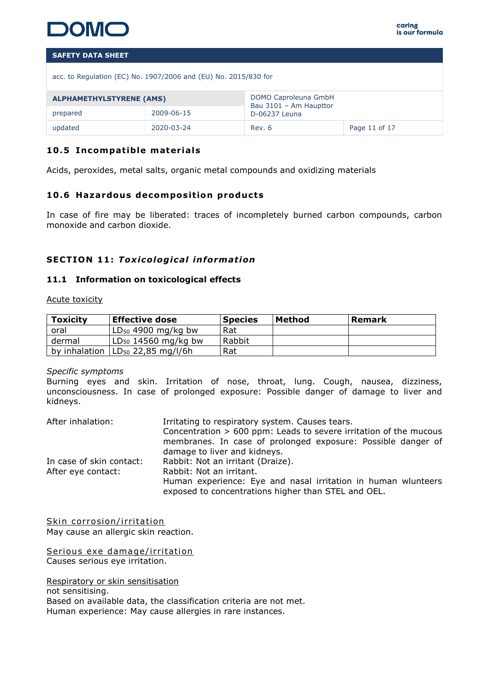

acc. to Regulation (EC) No. 1907/2006 and (EU) No. 2015/830 for

| <b>ALPHAMETHYLSTYRENE (AMS)</b> |            | DOMO Caproleuna GmbH<br>Bau 3101 - Am Haupttor |  |
|---------------------------------|------------|------------------------------------------------|--|
| prepared                        | 2009-06-15 | D-06237 Leuna                                  |  |
| updated                         | 2020-03-24 | Page 11 of 17<br>Rev. 6                        |  |

# **10.5 Incompatible materials**

Acids, peroxides, metal salts, organic metal compounds and oxidizing materials

# 10.6 Hazardous decomposition products

In case of fire may be liberated: traces of incompletely burned carbon compounds, carbon monoxide and carbon dioxide.

#### **SECTION 11: Toxicological information**

#### **11.1 Information on toxicological effects**

Acute toxicity

| <b>Toxicity</b> | <b>Effective dose</b>          | <b>Species</b> | Method | Remark |
|-----------------|--------------------------------|----------------|--------|--------|
| oral            | $LD_{50}$ 4900 mg/kg bw        | Rat            |        |        |
| dermal          | $LD_{50}$ 14560 mg/kg bw       | Rabbit         |        |        |
| by inhalation   | LD <sub>50</sub> 22,85 mg/l/6h | Rat            |        |        |

#### *Specific symptoms*

Burning eyes and skin. Irritation of nose, throat, lung. Cough, nausea, dizziness, unconsciousness. In case of prolonged exposure: Possible danger of damage to liver and kidneys.

| After inhalation:        | Irritating to respiratory system. Causes tears.                                                                      |  |  |  |
|--------------------------|----------------------------------------------------------------------------------------------------------------------|--|--|--|
|                          | Concentration > 600 ppm: Leads to severe irritation of the mucous                                                    |  |  |  |
|                          | membranes. In case of prolonged exposure: Possible danger of                                                         |  |  |  |
|                          | damage to liver and kidneys.                                                                                         |  |  |  |
| In case of skin contact: | Rabbit: Not an irritant (Draize).                                                                                    |  |  |  |
| After eye contact:       | Rabbit: Not an irritant.                                                                                             |  |  |  |
|                          | Human experience: Eye and nasal irritation in human wlunteers<br>exposed to concentrations higher than STEL and OEL. |  |  |  |
|                          |                                                                                                                      |  |  |  |

Skin corrosion/irritation May cause an allergic skin reaction.

Serious exe damage/irritation Causes serious eye irritation.

Respiratory or skin sensitisation

not sensitising. Based on available data, the classification criteria are not met. Human experience: May cause allergies in rare instances.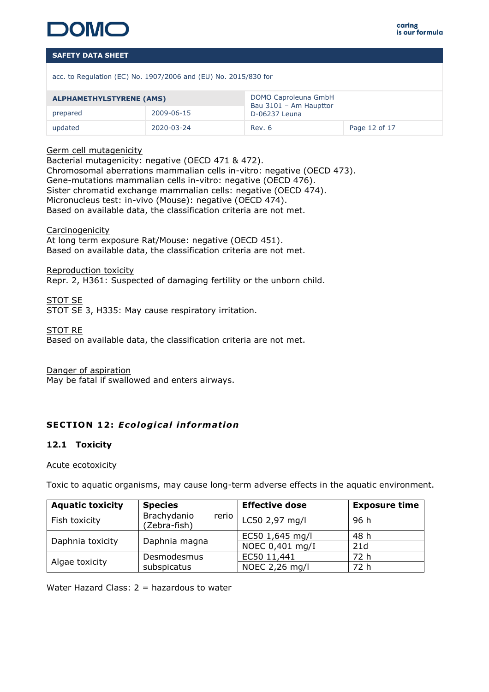

acc. to Regulation (EC) No. 1907/2006 and (EU) No. 2015/830 for

| <b>ALPHAMETHYLSTYRENE (AMS)</b> |            | DOMO Caproleuna GmbH<br>Bau 3101 - Am Haupttor<br>D-06237 Leuna |               |
|---------------------------------|------------|-----------------------------------------------------------------|---------------|
| 2009-06-15<br>prepared          |            |                                                                 |               |
| updated                         | 2020-03-24 | Rev. 6                                                          | Page 12 of 17 |

#### Germ cell mutagenicity

Bacterial mutagenicity: negative (OECD 471 & 472). Chromosomal aberrations mammalian cells in-vitro: negative (OECD 473). Gene-mutations mammalian cells in-vitro: negative (OECD 476). Sister chromatid exchange mammalian cells: negative (OECD 474). Micronucleus test: in-vivo (Mouse): negative (OECD 474). Based on available data, the classification criteria are not met.

Carcinogenicity At long term exposure Rat/Mouse: negative (OECD 451). Based on available data, the classification criteria are not met.

Reproduction toxicity

Repr. 2, H361: Suspected of damaging fertility or the unborn child.

STOT SE STOT SE 3, H335: May cause respiratory irritation.

STOT RE Based on available data, the classification criteria are not met.

Danger of aspiration

May be fatal if swallowed and enters airways.

# **SECTION 12: Ecological information**

#### **12.1 Toxicity**

#### Acute ecotoxicity

Toxic to aquatic organisms, may cause long-term adverse effects in the aquatic environment.

| <b>Aquatic toxicity</b> | <b>Species</b>                       | <b>Effective dose</b> | <b>Exposure time</b> |
|-------------------------|--------------------------------------|-----------------------|----------------------|
| Fish toxicity           | Brachydanio<br>rerio<br>(Zebra-fish) | LC50 2,97 mg/l        | 96 h                 |
| Daphnia toxicity        | Daphnia magna                        | EC50 1,645 mg/l       | 48 h                 |
|                         |                                      | NOEC 0,401 mg/I       | 21d                  |
|                         | Desmodesmus                          | EC50 11,441           | 72 h                 |
| Algae toxicity          | subspicatus                          | NOEC 2,26 mg/l        | 72 h                 |

Water Hazard Class: 2 = hazardous to water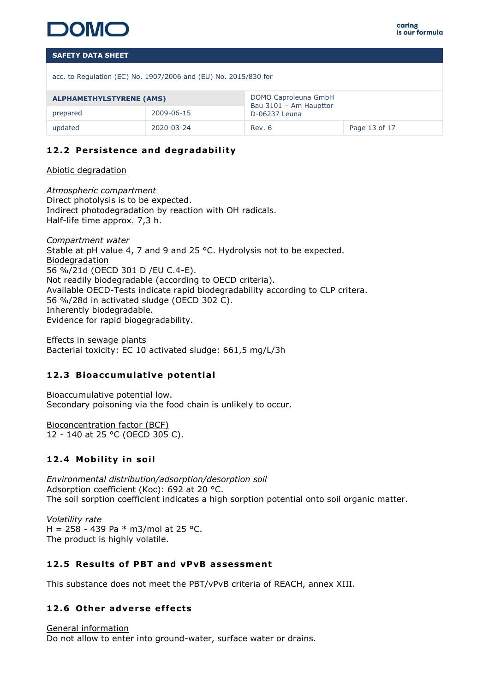

acc. to Regulation (EC) No. 1907/2006 and (EU) No. 2015/830 for

| <b>ALPHAMETHYLSTYRENE (AMS)</b> |            | DOMO Caproleuna GmbH<br>Bau 3101 - Am Haupttor |  |
|---------------------------------|------------|------------------------------------------------|--|
| prepared                        | 2009-06-15 | D-06237 Leuna                                  |  |
| updated                         | 2020-03-24 | Page 13 of 17<br>Rev. 6                        |  |

# 12.2 Persistence and degradability

Abiotic degradation

*Atmospheric compartment* Direct photolysis is to be expected. Indirect photodegradation by reaction with OH radicals. Half-life time approx. 7,3 h.

*Compartment water* Stable at pH value 4, 7 and 9 and 25 °C. Hydrolysis not to be expected. Biodegradation 56 %/21d (OECD 301 D /EU C.4-E). Not readily biodegradable (according to OECD criteria). Available OECD-Tests indicate rapid biodegradability according to CLP critera. 56 %/28d in activated sludge (OECD 302 C). Inherently biodegradable. Evidence for rapid biogegradability.

Effects in sewage plants Bacterial toxicity: EC 10 activated sludge: 661,5 mg/L/3h

# **12.3 Bioaccumulative potential**

Bioaccumulative potential low. Secondary poisoning via the food chain is unlikely to occur.

Bioconcentration factor (BCF) 12 - 140 at 25 °C (OECD 305 C).

# **12.4 Mobility in soil**

*Environmental distribution/adsorption/desorption soil* Adsorption coefficient (Koc): 692 at 20 °C. The soil sorption coefficient indicates a high sorption potential onto soil organic matter.

*Volatility rate* H = 258 - 439 Pa  $*$  m3/mol at 25 °C. The product is highly volatile.

# **12 .5 Resu lts of PBT and vPvB assessment**

This substance does not meet the PBT/vPvB criteria of REACH, annex XIII.

# **12 .6 Other adverse ef fects**

General information Do not allow to enter into ground-water, surface water or drains.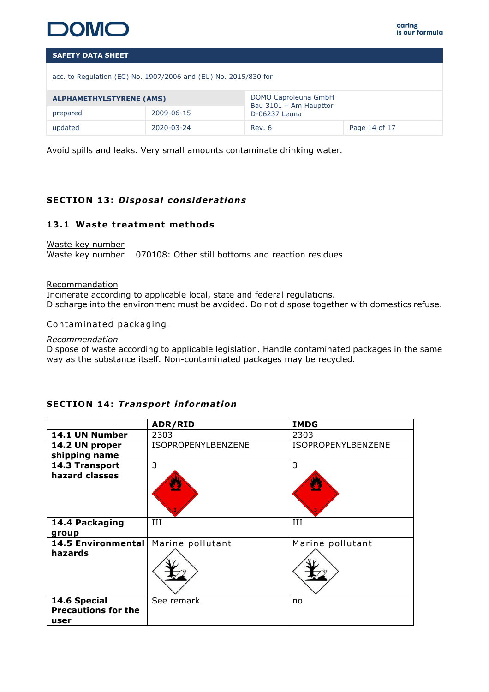

acc. to Regulation (EC) No. 1907/2006 and (EU) No. 2015/830 for

| <b>ALPHAMETHYLSTYRENE (AMS)</b> |            | DOMO Caproleuna GmbH<br>Bau 3101 - Am Haupttor |               |
|---------------------------------|------------|------------------------------------------------|---------------|
| prepared                        | 2009-06-15 | D-06237 Leuna                                  |               |
| updated                         | 2020-03-24 | Rev. 6                                         | Page 14 of 17 |

Avoid spills and leaks. Very small amounts contaminate drinking water.

# **SECTION 13: Disposal considerations**

#### **13 .1 Waste treatment methods**

Waste key number Waste key number 070108: Other still bottoms and reaction residues

#### Recommendation

Incinerate according to applicable local, state and federal regulations. Discharge into the environment must be avoided. Do not dispose together with domestics refuse.

Contaminated packaging

*Recommendation*

Dispose of waste according to applicable legislation. Handle contaminated packages in the same way as the substance itself. Non-contaminated packages may be recycled.

# **SECTION 14: Transport information**

|                                                    | ADR/RID            | <b>IMDG</b>        |
|----------------------------------------------------|--------------------|--------------------|
| 14.1 UN Number                                     | 2303               | 2303               |
| 14.2 UN proper<br>shipping name                    | ISOPROPENYLBENZENE | ISOPROPENYLBENZENE |
| 14.3 Transport<br>hazard classes                   | 3                  | 3                  |
| 14.4 Packaging<br>group                            | III                | III                |
| <b>14.5 Environmental</b><br>hazards               | Marine pollutant   | Marine pollutant   |
| 14.6 Special<br><b>Precautions for the</b><br>user | See remark         | no                 |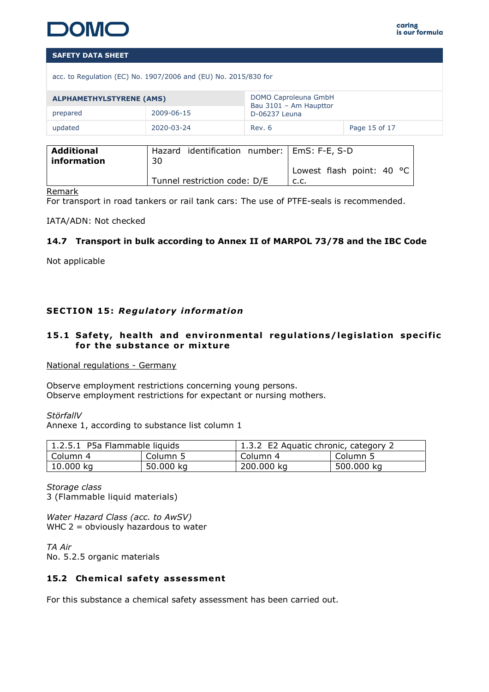acc. to Regulation (EC) No. 1907/2006 and (EU) No. 2015/830 for

| <b>ALPHAMETHYLSTYRENE (AMS)</b> |            | DOMO Caproleuna GmbH<br>Bau 3101 - Am Haupttor |  |
|---------------------------------|------------|------------------------------------------------|--|
| prepared                        | 2009-06-15 | D-06237 Leuna                                  |  |
| updated                         | 2020-03-24 | Page 15 of 17<br>Rev. 6                        |  |

| <b>Additional</b> | Hazard identification number:   EmS: F-E, S-D |                                     |
|-------------------|-----------------------------------------------|-------------------------------------|
| information       | 30                                            |                                     |
|                   |                                               | Lowest flash point: 40 $^{\circ}$ C |
|                   | Tunnel restriction code: D/E                  | .c.c                                |

#### Remark

For transport in road tankers or rail tank cars: The use of PTFE-seals is recommended.

IATA/ADN: Not checked

# **14.7 Transport in bulk according to Annex II of MARPOL 73/78 and the IBC Code**

Not applicable

# **SECTION 15: Regulatory information**

## 15.1 Safety, health and environmental regulations/legislation specific for the substance or mixture

National regulations - Germany

Observe employment restrictions concerning young persons. Observe employment restrictions for expectant or nursing mothers.

*StörfallV*

Annexe 1, according to substance list column 1

| 1.2.5.1 P5a Flammable liquids |           | 1.3.2 E2 Aquatic chronic, category 2 |            |  |
|-------------------------------|-----------|--------------------------------------|------------|--|
| Column 4                      | Column 5  | Column 4                             | Column 5   |  |
| 10.000 kg                     | 50.000 kg | 200.000 kg                           | 500.000 kg |  |

*Storage class* 3 (Flammable liquid materials)

*Water Hazard Class (acc. to AwSV)* WHC 2 = obviously hazardous to water

*TA Air* No. 5.2.5 organic materials

#### 15.2 Chemical safety assessment

For this substance a chemical safety assessment has been carried out.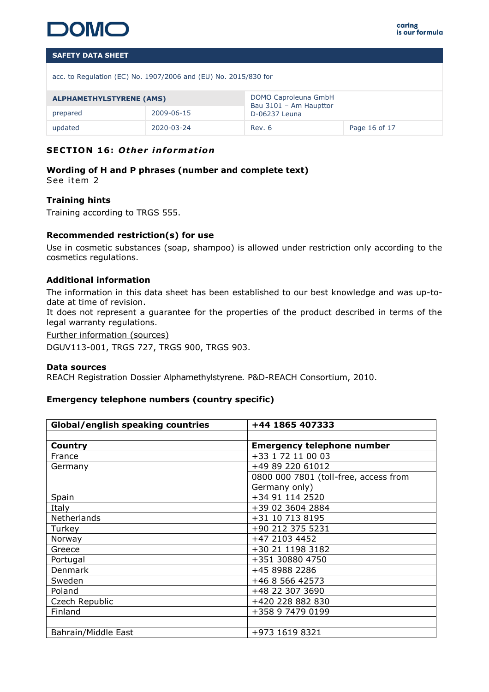

acc. to Regulation (EC) No. 1907/2006 and (EU) No. 2015/830 for

| <b>ALPHAMETHYLSTYRENE (AMS)</b> |            | DOMO Caproleuna GmbH<br>Bau 3101 - Am Haupttor |  |
|---------------------------------|------------|------------------------------------------------|--|
| prepared                        | 2009-06-15 | D-06237 Leuna                                  |  |
| updated                         | 2020-03-24 | Page 16 of 17<br>Rev. 6                        |  |

# **SECTION 16: Other information**

**Wording of H and P phrases (number and complete text)**  See item 2

#### **Training hints**

Training according to TRGS 555.

#### **Recommended restriction(s) for use**

Use in cosmetic substances (soap, shampoo) is allowed under restriction only according to the cosmetics regulations.

#### **Additional information**

The information in this data sheet has been established to our best knowledge and was up-todate at time of revision.

It does not represent a guarantee for the properties of the product described in terms of the legal warranty regulations.

Further information (sources)

DGUV113-001, TRGS 727, TRGS 900, TRGS 903.

#### **Data sources**

REACH Registration Dossier Alphamethylstyrene. P&D-REACH Consortium, 2010.

#### **Emergency telephone numbers (country specific)**

| <b>Global/english speaking countries</b> | +44 1865 407333                       |  |
|------------------------------------------|---------------------------------------|--|
|                                          |                                       |  |
| Country                                  | <b>Emergency telephone number</b>     |  |
| France                                   | +33 1 72 11 00 03                     |  |
| Germany                                  | +49 89 220 61012                      |  |
|                                          | 0800 000 7801 (toll-free, access from |  |
|                                          | Germany only)                         |  |
| Spain                                    | +34 91 114 2520                       |  |
| Italy                                    | +39 02 3604 2884                      |  |
| Netherlands                              | +31 10 713 8195                       |  |
| Turkey                                   | +90 212 375 5231                      |  |
| Norway                                   | +47 2103 4452                         |  |
| Greece                                   | +30 21 1198 3182                      |  |
| Portugal                                 | +351 30880 4750                       |  |
| <b>Denmark</b>                           | +45 8988 2286                         |  |
| Sweden                                   | +46 8 566 42573                       |  |
| Poland                                   | +48 22 307 3690                       |  |
| Czech Republic                           | +420 228 882 830                      |  |
| Finland                                  | +358 9 7479 0199                      |  |
|                                          |                                       |  |
| Bahrain/Middle East                      | +973 1619 8321                        |  |